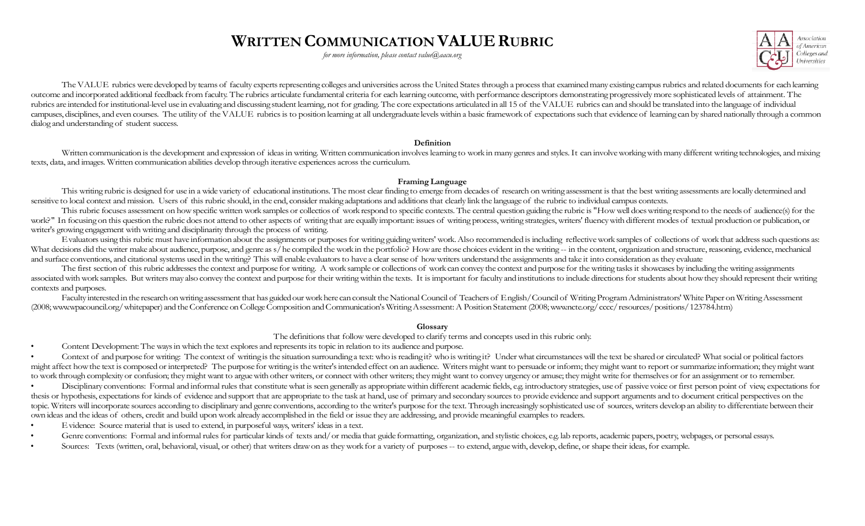# **WRITTEN COMMUNICATION VALUE RUBRIC**

*for more information, please contact [value@aacu.org](mailto:value@aacu.org)*



The VALUE rubrics were developed by teams of faculty experts representing colleges and universities across the United States through a process that examined many existing campus rubrics and related documents for each learn outcome and incorporated additional feedback from faculty. The rubrics articulate fundamental criteria for each learning outcome, with performance descriptors demonstrating progressively more sophisticated levels of attain rubrics are intended for institutional-level use in evaluating and discussing student learning, not for grading. The core expectations articulated in all 15 of the VALUE rubrics can and should be translated into the langua campuses, disciplines, and even courses. The utility of the VALUE rubrics is to position learning at all undergraduate levels within a basic framework of expectations such that evidence of learning can by shared nationally dialog and understanding of student success.

#### **Definition**

Written communication is the development and expression of ideas in writing. Written communication involves learning to work in many genres and styles. It can involve working with many different writing technologies, and m texts, data, and images. Written communication abilities develop through iterative experiences across the curriculum.

#### **Framing Language**

This writing rubric is designed for use in a wide variety of educational institutions. The most clear finding to emerge from decades of research on writing assessment is that the best writing assessments are locally determ sensitive to local context and mission. Users of this rubric should, in the end, consider making adaptations and additions that clearly link the language of the rubric to individual campus contexts.

This rubric focuses assessment on how specific written work samples or collectios of work respond to specific contexts. The central question guiding the rubric is "How well does writing respond to the needs of audience(s) work?" In focusing on this question the rubric does not attend to other aspects of writing that are equally important: issues of writing process, writing strategies, writing strategies, writing that generally important: is writer's growing engagement with writing and disciplinarity through the process of writing.

Evaluators using this rubric must have information about the assignments or purposes for writing guiding writers' work. Also recommended is including reflective work samples of collections of work that address such questio What decisions did the writer make about audience, purpose, and genre as s/he compiled the work in the portfolio? How are those choices evident in the writing -- in the content, organization and structure, reasoning, evide and surface conventions, and citational systems used in the writing? This will enable evaluators to have a clear sense of how writers understand the assignments and take it into consideration as they evaluate

The first section of this rubric addresses the context and purpose for writing. A work sample or collections of work can convey the context and purpose for the writing tasks it showcases by including the writing assignment associated with work samples. But writers may also convey the context and purpose for their writing within the texts. It is important for faculty and institutions to include directions for students about how they should re contexts and purposes.

Faculty interested in the research on writing assessment that has guided our work here can consult the National Council of Teachers of English/Council of Writing Program Administrators' White Paper on Writing Assessment (2008; www.wpacouncil.org/whitepaper) and the Conference on College Composition and Communication's Writing Assessment: A Position Statement (2008; www.ncte.org/cccc/resources/positions/123784.htm)

### **Glossary**

The definitions that followwere developed to clarify terms and concepts used in this rubric only.

Content Development: The ways in which the text explores and represents its topic in relation to its audience and purpose.

Context of and purpose for writing: The context of writing is the situation surrounding a text: who is reading it? who is writing it? Under what circumstances will the text be shared or circulated? What social or political might affect how the text is composed or interpreted? The purpose for writing is the writer's intended effect on an audience. Writers might want to persuade or inform; they might want to report or summanize information; th to work through complexity or confusion; they might want to argue with other writers, or connect with other writers; they might want to convey urgency or amuse; they might write for themselves or for an assignment or to re

Disciplinary conventions: Formal and informal rules that constitute what is seen generally as appropriate within different academic fields, e.g. introductory strategies, use of passive voice or first person point of view e thesis or hypothesis, expectations for kinds of evidence and support that are appropriate to the task at hand, use of primary and secondary sources to provide evidence and support arguments and to document critical perspec topic. Writers will incorporate sources according to disciplinary and genre conventions, according to the writer's purpose for the text. Through increasingly sophisticated use of sources, writers develop an ability to diff own ideas and the ideas of others, credit and build uponwork already accomplished in the field or issue they are addressing, and provide meaningful examplesto readers.

- Evidence: Source material that is used to extend, in purposeful ways, writers' ideas in a text.
- Genre conventions: Formal and informal rules for particular kinds of texts and/or media that guide formatting, organization, and stylistic choices, e.g. lab reports, academic papers, poetry, webpages, or personal essays.
- Sources: Texts (written, oral, behavioral, visual, or other) that writers draw on as they work for a variety of purposes -- to extend, argue with, develop, define, or shape their ideas, for example.